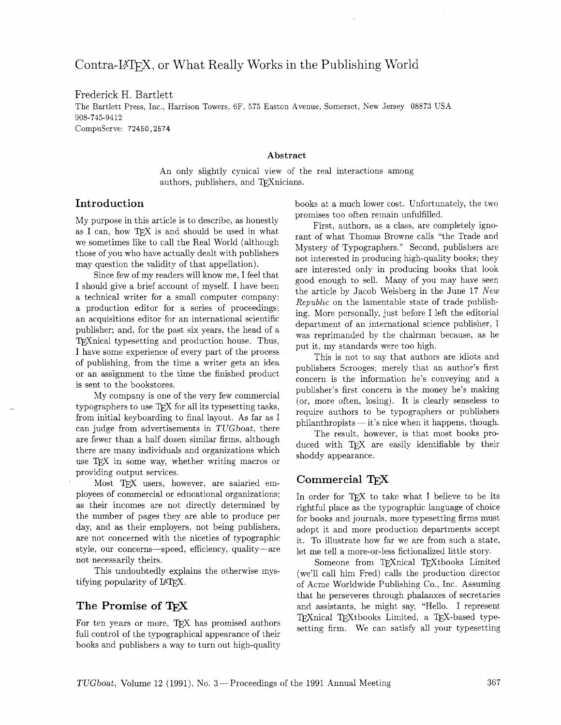# Contra-LAT<sub>F</sub>X, or What Really Works in the Publishing World

### Frederick H. Bartlett

The Bartlett Press, Inc., Harrison Towers. 6F, 575 Easton Avenue, Somerset, New Jersey 08873 USA 908-745-9412 Compuserve: 72450,2574

#### **Abstract**

An only slightly cynical view of the real interactions among authors, publishers, and TEXnicians.

My purpose in this article is to describe, as honestly as I can, how TFX is and should be used in what we sometimes like to call the Real World (although those of you who have actually dealt with publishers may question the validity of that appellation).

Since few of my readers will know me, I feel that I should give a brief account of myself. I have been a technical writer for a small computer company; a production editor for a series of proceedings; an acquisitions editor for an international scientific publisher; and, for the past six years, the head of a T<sub>F</sub>X nical typesetting and production house. Thus, I have some experience of every part of the process of publishing, from the time a writer gets an idea or an assignment to the time the finished product is sent to the bookstores.

My company is one of the very few commercial typographers to use T<sub>F</sub>X for all its typesetting tasks. from initial keyboarding to final layout. As far as I can judge from advertisements in TUG boat, there are fewer than a half dozen similar firms, although there are many individuals and organizations which use T<sub>F</sub>X in some way, whether writing macros or providing output services.

Most TFX users, however, are salaried employees of commercial or educational organizations: as their incomes are not directly determined by the number of pages they are able to produce per day, and as their employers, not being publishers. are not concerned with the niceties of typographic style, our concerns-speed, efficiency, quality-are not necessarily theirs.

This undoubtedly explains the otherwise mystifying popularity of IATFX.

## The Promise of

For ten years or more, TFX has promised authors full control of the typographical appearance of their books and publishers a way to turn out high-quality

Introduction **books** at a much lower cost. Unfortunately, the two promises too often remain unfulfilled.

> First, authors, as a class. are completely ignorant of what Thomas Browne calls "the Trade and Mystery of Typographers.'' Second, publishers are not interested in producing high-quality books; they are interested only in producing books that look good enough to sell. Many of you may have seen the article by Jacob Weisberg in the June 17 New *Republzc* on the lamentable state of trade publishing. More personally, just before I left the editorial department of an international science publisher, I was reprimanded by the chairman because, as he put it. my standards were too high.

> This is not to say that authors are idiots and publishers Scrooges; merely that an author's first concern is the information he's conveying and a publisher's first concern is the money he's making (or, more often, losing). It is clearly senseless to (or, more often, fosing). It is clearly senseless to<br>require authors to be typographers or publishers<br>philanthropists — it's nice when it happens, though.<br>The result happens is that meet heelte pre

> The result. however, is that most books produced with TFX are easily identifiable by their shoddy appearance.

## Commercial TFX

In order for TFX to take what I believe to be its rightful place as the typographic language of choice for books and journals, more typesetting firms must adopt it and more production departments accept it. To illustrate how far we are from such a state, let me tell a more-or-less fictionalized little story.

Someone from TFXnical TFXtbooks Limited (we'll call him Fred) calls the production director of Acme Worldwide Publishing Co., Inc. Assuming that he perseveres through phalanxes of secretaries and assistants, he might say, "Hello. I represent TFXnical TFXtbooks Limited, a TFX-based typesetting firm. We can satisfy all your typesetting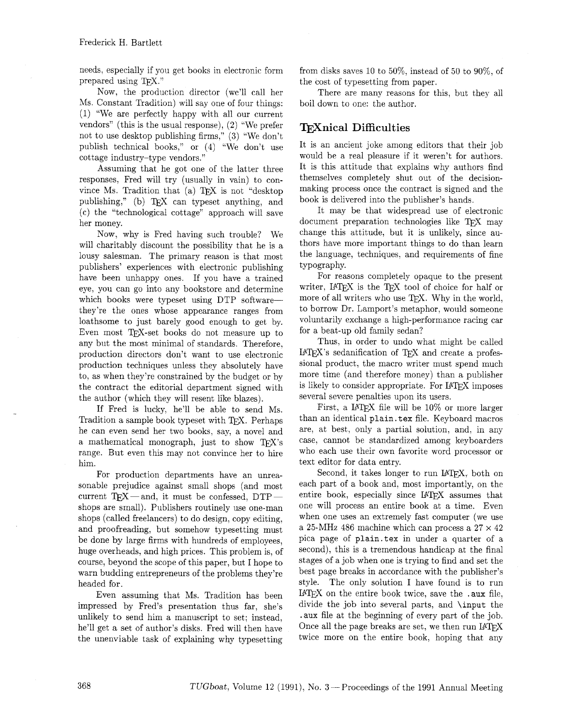needs, especially if you get books in electronic form prepared using TEX."

Now, the production director (we'll call her Ms. Constant Tradition) will say one of four things: (1) "We are perfectly happy with all our current vendors" (this is the usual response), (2) "We prefer not to use desktop publishing firms," (3) "We don't publish technical books," or (4) "We don't use cottage industry-type vendors."

Assuming that he got one of the latter three responses. Fred will try (usually in vain) to convince Ms. Tradition that (a)  $TFX$  is not "desktop" publishing," (b) TEX can typeset anything, and (c) the "technological cottage" approach will save her money.

Now, why is Fred having such trouble? We will charitably discount the possibility that he is a lousy salesman. The primary reason is that most publishers' experiences with electronic publishing have been unhappy ones. If you have a trained eye, you can go into any bookstore and determine which books were typeset using DTP softwarethey're the ones whose appearance ranges from loathsome to just barely good enough to get by. Even most TEX-set books do not measure up to any but the most minimal of standards. Therefore, production directors don't want to use electronic production techniques unless they absolutely have to, as when they're constrained by the budget or by the contract the editorial department signed with the author (which they will resent like blazes).

If Fred is lucky, he'll be able to send Ms. Tradition a sample book typeset with TFX. Perhaps he can even send her two books, say, a novel and a mathematical monograph, just to show  $T \n F X$ 's range. But even this may not convince her to hire him.

For production departments have an unreasonable prejudice against small shops (and most current  $TFX$  — and, it must be confessed,  $DTP$  shops are small). Publishers routinely use one-man shops (called freelancers) to do design, copy editing. and proofreading, but somehow typesetting must be done by large firms with hundreds of employees, huge overheads, and high prices. This problem is, of course, beyond the scope of this paper, but I hope to warn budding entrepreneurs of the problems they're headed for.

Even assuming that Ms. Tradition has been impressed by Fred's presentation thus far, she's unlikely to send him a manuscript to set; instead. he'll get a set of author's disks. Fred will then have the unenviable task of explaining why typesetting

from disks saves 10 to 50%, instead of 50 to 90%, of the cost of typesetting from paper.

There are many reasons for this, but they all boil down to one: the author.

# **mnical Difficulties**

It is an ancient joke among editors that their job would be a real pleasure if it weren't for authors. It is this attitude that explains why authors find themselves completely shut out of the decisionmaking process once the contract is signed and the book is delivered into the publisher's hands.

It may be that widespread use of electronic document preparation technologies like TFX may change this attitude, but it is unlikely, since authors have more important things to do than learn the language, techniques, and requirements of fine typography.

For reasons completely opaque to the present writer, IATEX is the TEX tool of choice for half or more of all writers who use TEX. Why in the world, to borrow Dr. Lamport's metaphor, would someone voluntarily exchange a high-performance racing car for a beat-up old family sedan?

Thus, in order to undo what might be called IATEX's sedanification of TEX and create a professional product, the macro writer must spend much more time (and therefore money) than a publisher is likely to consider appropriate. For IATFX imposes several severe penalties upon its users.

First, a IATEX file will be 10% or more larger than an identical **plain. tex** file. Keyboard macros are, at best, only a partial solution, and, in any case, cannot be standardized among keyboarders who each use their own favorite word processor or text editor for data entry.

Second, it takes longer to run IAT<sub>F</sub>X, both on each part of a book and, most importantly, on the intire book, especially since **I**AT<sub>E</sub>X assumes that one will process an entire book at a time. Even when one uses an extremely fast computer (we use a 25-MHz 486 machine which can process a  $27 \times 42$ pica page of **plain.tex** in under a quarter of a second), this is a tremendous handicap at the final stages of a job when one is trying to find and set the best page breaks in accordance with the publisher's style. The only solution I have found is to run I<sup>4</sup>TEX on the entire book twice, save the .aux file, divide the job into several parts, and **\input** the aux file at the beginning of every part of the job. Once all the page breaks are set, we then run I4T<sub>E</sub>X twice more on the entire book, hoping that any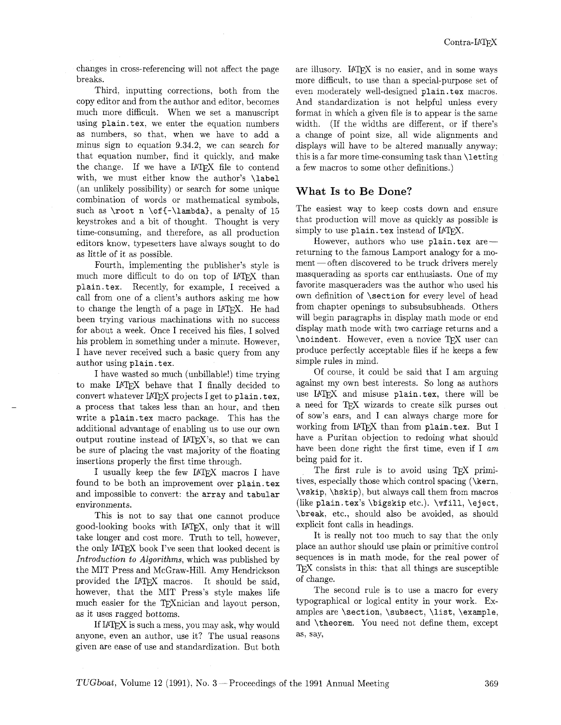changes in cross-referencing will not affect the page breaks.

Third, inputting corrections. both from the copy editor and from the author and editor, becomes much more difficult. When we set a manuscript using plain.tex. we enter the equation numbers as numbers, so that. when we have to add a minus sign to equation 9.34.2, we can search for that equation number. find it quickly, and make the change. If we have a IATFX file to contend with, we must either know the author's \label (an unlikely possibility) or search for some unique combination of words or mathematical symbols, such as  $\root n \of{-\lambda}, a penalty of 15$ keystrokes and a bit of thought. Thought is very time-consuming, and therefore, as all production editors know, typesetters have always sought to do as little of it as possible.

Fourth, implementing the publisher's style is much more difficult to do on top of IATFX than plain.tex. Recently, for example, I received a call from one of a client's authors asking me how to change the length of a page in LAT<sub>F</sub>X. He had been trying various machinations with no success for about a week. Once I received his files. I solved his problem in something under a minute. However, I have never received such a basic query from any author using plain. tex.

I have wasted so much (unbillable!) time trying to make IATEX behave that I finally decided to convert whatever IAT<sub>F</sub>X projects I get to plain. tex, a process that takes less than an hour, and then write a plain. tex macro package. This has the additional advantage of enabling us to use our own output routine instead of IATFX's, so that we can be sure of placing the vast majority of the floating insertions properly the first time through.

I usually keep the few IAT<sub>EX</sub> macros I have found to be both an improvement over plain.tex and impossible to convert: the array and tabular environments.

This is not to say that one cannot produce good-looking books with IATFX, only that it will take longer and cost more. Truth to tell, however, the only IATEX book I've seen that looked decent is Introduction to Algorithms, which was published by the MIT Press and McGraw-Hill. Amy Hendrickson provided the IATEX macros. It should be said, however, that the MIT Press's style makes life much easier for the TEXnician and layout person, as it uses ragged bottoms.

If IATEX is such a mess, you may ask, why would anyone, even an author, use it? The usual reasons given are ease of use and standardization. But both are illusory. IATEX is no easier, and in some ways more difficult, to use than a special-purpose set of even moderately well-designed plain. tex macros. And standardization is not helpful unless every format in which a given file is to appear is the same width. (If the widths are different, or if there's a change of point size, all wide alignments and displays will have to be altered manually anyway; this is a far more time-consuming task than \letting a few macros to some other definitions.)

# **What Is to Be Done?**

The easiest way to keep costs down and ensure that production will move as quickly as possible is simply to use  $plan$ . tex instead of  $IATFX$ .

However, authors who use plain.tex arereturning to the famous Lamport analogy for a mo $ment$  -often discovered to be truck drivers merely masquerading as sports car enthusiasts. One of my favorite masqueraders was the author who used his own definition of \sect ion for every level of head from chapter openings to subsubsubheads. Others will begin paragraphs in display math mode or end display math mode with two carriage returns and a \noindent. However, even a novice TEX user can produce perfectly acceptable files if he keeps a few simple rules in mind.

Of course, it could be said that I am arguing against my own best interests. So long as authors use IAT<sub>F</sub>X and misuse plain.tex, there will be a need for TEX wizards to create silk purses out of sow's ears, and I can always charge more for working from IATEX than from plain.tex. But I have a Puritan objection to redoing what should have been done right the first time, even if I am being paid for it.

The first rule is to avoid using TFX primitives, especially those which control spacing (\kern, \vskip, \hskip), but always call them from macros (like plain. tex's \bigskip etc.). \vfill, \eject, \break. etc., should also be avoided, as should explicit font calls in headings.

It is really not too much to say that the only pIace an author should use plain or primitive control sequences is in math mode, for the real power of **TFX** consists in this: that all things are susceptible of change.

The second rule is to use a macro for every typographical or logical entity in your work. Examples are \section, \subsect, \list, \example, and \theorem. You need not define them, except as, say,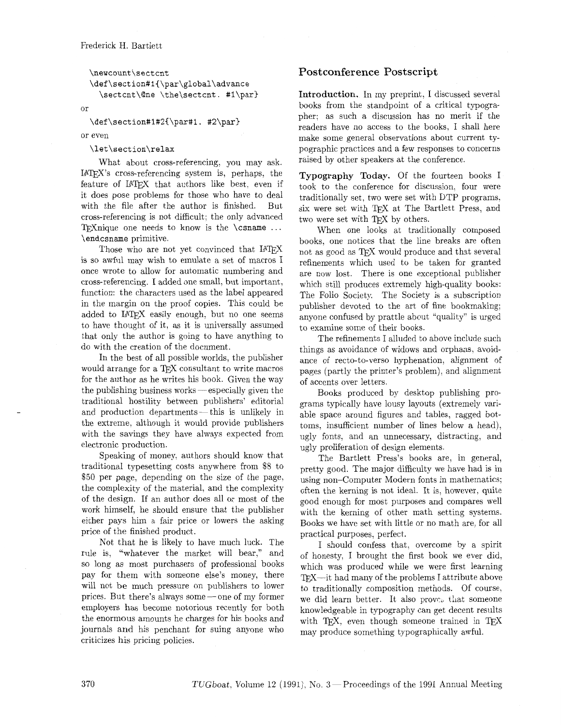```
\newcount\sectcnt
\def\section#1{\par\global\advance
 \sectcnt\@ne \the\sectcnt. #1\par}
```
or

\def\section#1#2{\par#1. #2\par}

or even

#### **\let\section\relax**

What about cross-referencing, you may ask. MW's cross-referencing system is, perhaps, the feature of IATFX that authors like best, even if it does pose problems for those who have to deal with the file after the author is finished. But cross-referencing is not difficult; the only advanced 5Ynique one needs to know is the **\csname** . . . **\endcsname** primitive.

Those who are not yet convinced that IATFX is so awful may wish to emulate a set of macros I once wrote to allow for automatic numbering and cross-referencing. I added one small, but important, function: the characters used as the label appeared n the margin on the proof copies. This could be added to IATEX easily enough, but no one seems to have thought of it, as it is universally assumed that only the author is going to have anything to do with the creation of the document.

In the best of all possible worlds, the publisher would arrange for a TFX consultant to write macros for the author as he writes his book. Given the way the publishing business works  $-$  especially given the traditional hostility between publishers' editorial and production departments - this is unlikely in the extreme, although it would provide publishers with the savings they have always expected from electronic production.

Speaking of money, authors should know that traditional typesetting costs anywhere from \$8 to \$50 per page, depending on the size of the page, the complexity of the material, and the complexity of the design. If an author does all or most of the work himself, he should ensure that the publisher either pays him a fair price or lowers the asking price of the finished product.

Not that he is likely to have much luck. The rule is, "whatever the market will bear," and so long as most purchasers of professional books pay for them with someone else's money, there will not be much pressure on publishers to lower prices. But there's always some - one of my former employers has become notorious recently for both the enormous amounts he charges for his books and journals and his penchant for suing anyone who criticizes his pricing policies.

## **Post conference Postscript**

**Introduction.** In my preprint, I discussed several books from the standpoint of a critical typographer; as such a discussion has no merit if the readers have no access to the books, I shall here make some general observations about current typographic practices and a few responses to concerns raised by other speakers at the conference.

**Typography Today.** Of the fourteen books I took to the conference for discussion, four were traditionally set, two were set with DTP programs, six were set with TEX at The Bartlett Press, and two were set with TEX by others.

When one looks at traditionally composed books, one notices that the line breaks are often not as good as TFX would produce and that several refinements which used to be taken for granted are now lost. There is one exceptional publisher which still produces extremely high-quality books: The Folio Society. The Society is a subscription publisher devoted to the art of fine bookmaking; anyone confused by prattle about "quality" is urged to examine some of their books.

The refinements I alluded to above include such things as avoidance of widows and orphans, avoidance of recto-to-verso hyphenation, alignment of pages (partly the printer's problem), and alignment of accents over letters.

Books produced by desktop publishing programs typically have lousy layouts (extremely variable space around figures and tables, ragged bottoms, insufficient number of lines below a head), ugly fonts, and an unnecessary, distracting, and ugly proliferation of design elements.

The Bartlett Press's books are, in general, pretty good. The major difficulty we have had is in using non-Computer Modern fonts in mathematics; often the kerning is not ideal. It is, however, quite good enough for most purposes and compares well with the kerning of other math setting systems. Books we have set with little or no math are, for all practical purposes, perfect.

I should confess that. overcome by a spirit of honesty, I brought the first book we ever did, which was produced while we were first learning  $T_{\rm F}X$ —it had many of the problems I attribute above to traditionally composition methods. Of course, we did learn better. It also proves that someone knowledgeable in typography can get decent results with TFX, even though someone trained in TFX may produce something typographically awful.